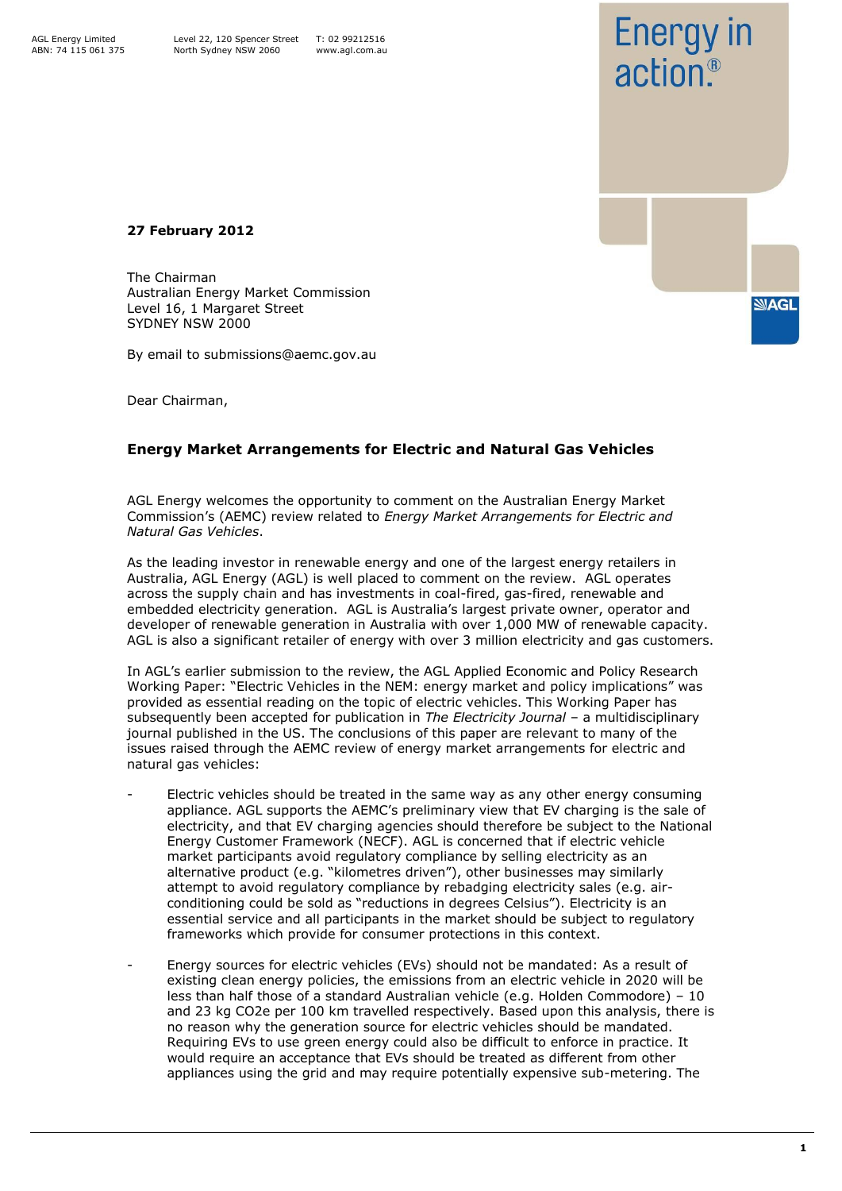AGL Energy Limited ABN: 74 115 061 375



**27 February 2012**

The Chairman Australian Energy Market Commission Level 16, 1 Margaret Street SYDNEY NSW 2000

By email to submissions@aemc.gov.au

Dear Chairman,

## **Energy Market Arrangements for Electric and Natural Gas Vehicles**

AGL Energy welcomes the opportunity to comment on the Australian Energy Market Commission"s (AEMC) review related to *Energy Market Arrangements for Electric and Natural Gas Vehicles*.

As the leading investor in renewable energy and one of the largest energy retailers in Australia, AGL Energy (AGL) is well placed to comment on the review. AGL operates across the supply chain and has investments in coal-fired, gas-fired, renewable and embedded electricity generation. AGL is Australia"s largest private owner, operator and developer of renewable generation in Australia with over 1,000 MW of renewable capacity. AGL is also a significant retailer of energy with over 3 million electricity and gas customers.

In AGL's earlier submission to the review, the AGL Applied Economic and Policy Research Working Paper: "Electric Vehicles in the NEM: energy market and policy implications" was provided as essential reading on the topic of electric vehicles. This Working Paper has subsequently been accepted for publication in *The Electricity Journal* – a multidisciplinary journal published in the US. The conclusions of this paper are relevant to many of the issues raised through the AEMC review of energy market arrangements for electric and natural gas vehicles:

- Electric vehicles should be treated in the same way as any other energy consuming appliance. AGL supports the AEMC"s preliminary view that EV charging is the sale of electricity, and that EV charging agencies should therefore be subject to the National Energy Customer Framework (NECF). AGL is concerned that if electric vehicle market participants avoid regulatory compliance by selling electricity as an alternative product (e.g. "kilometres driven"), other businesses may similarly attempt to avoid regulatory compliance by rebadging electricity sales (e.g. airconditioning could be sold as "reductions in degrees Celsius"). Electricity is an essential service and all participants in the market should be subject to regulatory frameworks which provide for consumer protections in this context.
- Energy sources for electric vehicles (EVs) should not be mandated: As a result of existing clean energy policies, the emissions from an electric vehicle in 2020 will be less than half those of a standard Australian vehicle (e.g. Holden Commodore) – 10 and 23 kg CO2e per 100 km travelled respectively. Based upon this analysis, there is no reason why the generation source for electric vehicles should be mandated. Requiring EVs to use green energy could also be difficult to enforce in practice. It would require an acceptance that EVs should be treated as different from other appliances using the grid and may require potentially expensive sub-metering. The